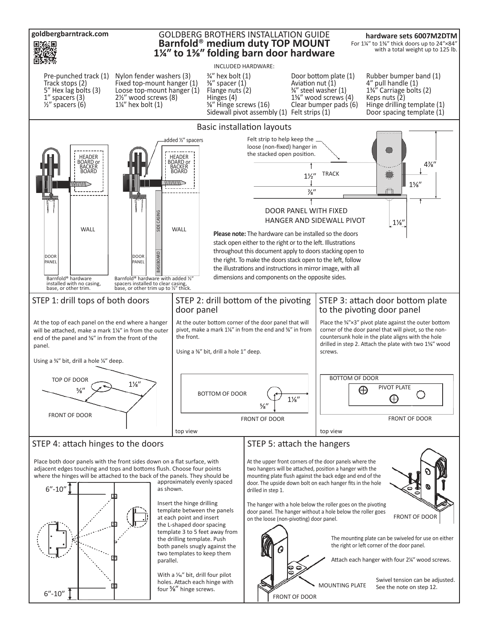